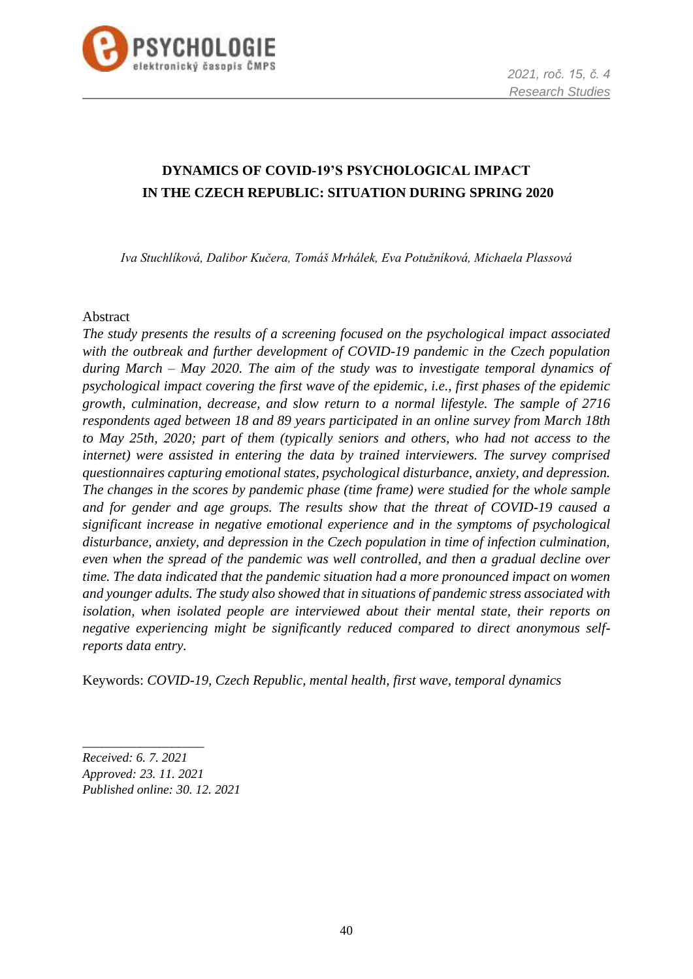

# **DYNAMICS OF COVID-19'S PSYCHOLOGICAL IMPACT IN THE CZECH REPUBLIC: SITUATION DURING SPRING 2020**

*Iva Stuchlíková, Dalibor Kučera, Tomáš Mrhálek, Eva Potužníková, Michaela Plassová*

#### Abstract

*The study presents the results of a screening focused on the psychological impact associated with the outbreak and further development of COVID-19 pandemic in the Czech population during March – May 2020. The aim of the study was to investigate temporal dynamics of psychological impact covering the first wave of the epidemic, i.e., first phases of the epidemic growth, culmination, decrease, and slow return to a normal lifestyle. The sample of 2716 respondents aged between 18 and 89 years participated in an online survey from March 18th to May 25th, 2020; part of them (typically seniors and others, who had not access to the internet) were assisted in entering the data by trained interviewers. The survey comprised questionnaires capturing emotional states, psychological disturbance, anxiety, and depression. The changes in the scores by pandemic phase (time frame) were studied for the whole sample and for gender and age groups. The results show that the threat of COVID-19 caused a significant increase in negative emotional experience and in the symptoms of psychological disturbance, anxiety, and depression in the Czech population in time of infection culmination, even when the spread of the pandemic was well controlled, and then a gradual decline over time. The data indicated that the pandemic situation had a more pronounced impact on women and younger adults. The study also showed that in situations of pandemic stress associated with isolation, when isolated people are interviewed about their mental state, their reports on negative experiencing might be significantly reduced compared to direct anonymous selfreports data entry.*

Keywords: *COVID-19, Czech Republic, mental health, first wave, temporal dynamics*

*Received: 6. 7. 2021 Approved: 23. 11. 2021 Published online: 30. 12. 2021*

\_\_\_\_\_\_\_\_\_\_\_\_\_\_\_\_\_\_\_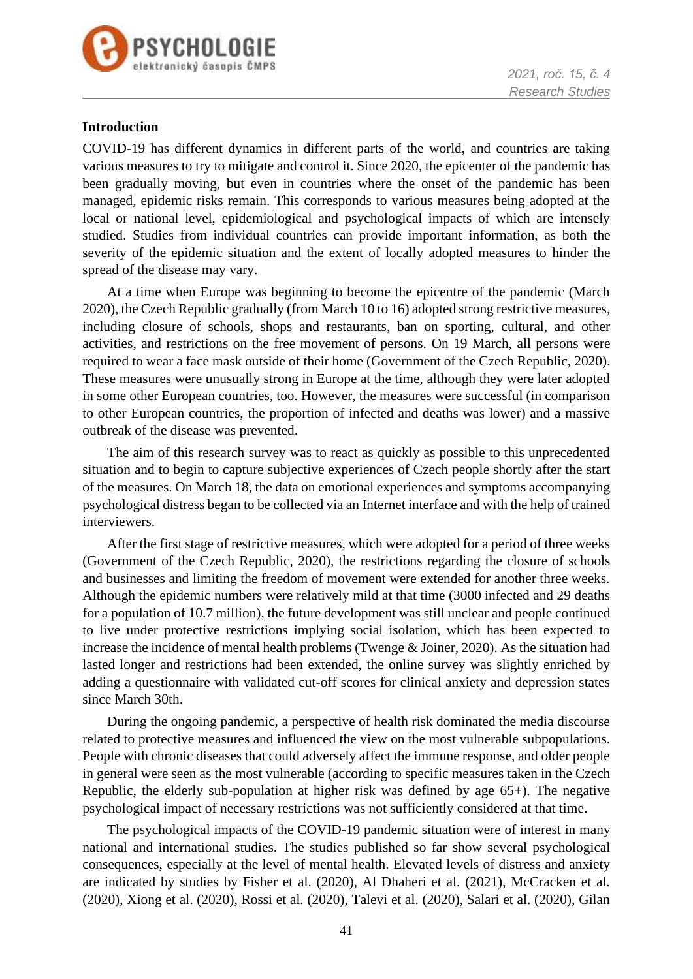



### **Introduction**

COVID-19 has different dynamics in different parts of the world, and countries are taking various measures to try to mitigate and control it. Since 2020, the epicenter of the pandemic has been gradually moving, but even in countries where the onset of the pandemic has been managed, epidemic risks remain. This corresponds to various measures being adopted at the local or national level, epidemiological and psychological impacts of which are intensely studied. Studies from individual countries can provide important information, as both the severity of the epidemic situation and the extent of locally adopted measures to hinder the spread of the disease may vary.

At a time when Europe was beginning to become the epicentre of the pandemic (March 2020), the Czech Republic gradually (from March 10 to 16) adopted strong restrictive measures, including closure of schools, shops and restaurants, ban on sporting, cultural, and other activities, and restrictions on the free movement of persons. On 19 March, all persons were required to wear a face mask outside of their home (Government of the Czech Republic, 2020). These measures were unusually strong in Europe at the time, although they were later adopted in some other European countries, too. However, the measures were successful (in comparison to other European countries, the proportion of infected and deaths was lower) and a massive outbreak of the disease was prevented.

The aim of this research survey was to react as quickly as possible to this unprecedented situation and to begin to capture subjective experiences of Czech people shortly after the start of the measures. On March 18, the data on emotional experiences and symptoms accompanying psychological distress began to be collected via an Internet interface and with the help of trained interviewers.

After the first stage of restrictive measures, which were adopted for a period of three weeks (Government of the Czech Republic, 2020), the restrictions regarding the closure of schools and businesses and limiting the freedom of movement were extended for another three weeks. Although the epidemic numbers were relatively mild at that time (3000 infected and 29 deaths for a population of 10.7 million), the future development was still unclear and people continued to live under protective restrictions implying social isolation, which has been expected to increase the incidence of mental health problems (Twenge & Joiner, 2020). As the situation had lasted longer and restrictions had been extended, the online survey was slightly enriched by adding a questionnaire with validated cut-off scores for clinical anxiety and depression states since March 30th.

During the ongoing pandemic, a perspective of health risk dominated the media discourse related to protective measures and influenced the view on the most vulnerable subpopulations. People with chronic diseases that could adversely affect the immune response, and older people in general were seen as the most vulnerable (according to specific measures taken in the Czech Republic, the elderly sub-population at higher risk was defined by age 65+). The negative psychological impact of necessary restrictions was not sufficiently considered at that time.

The psychological impacts of the COVID-19 pandemic situation were of interest in many national and international studies. The studies published so far show several psychological consequences, especially at the level of mental health. Elevated levels of distress and anxiety are indicated by studies by Fisher et al. (2020), Al Dhaheri et al. (2021), McCracken et al. (2020), Xiong et al. (2020), Rossi et al. (2020), Talevi et al. (2020), Salari et al. (2020), Gilan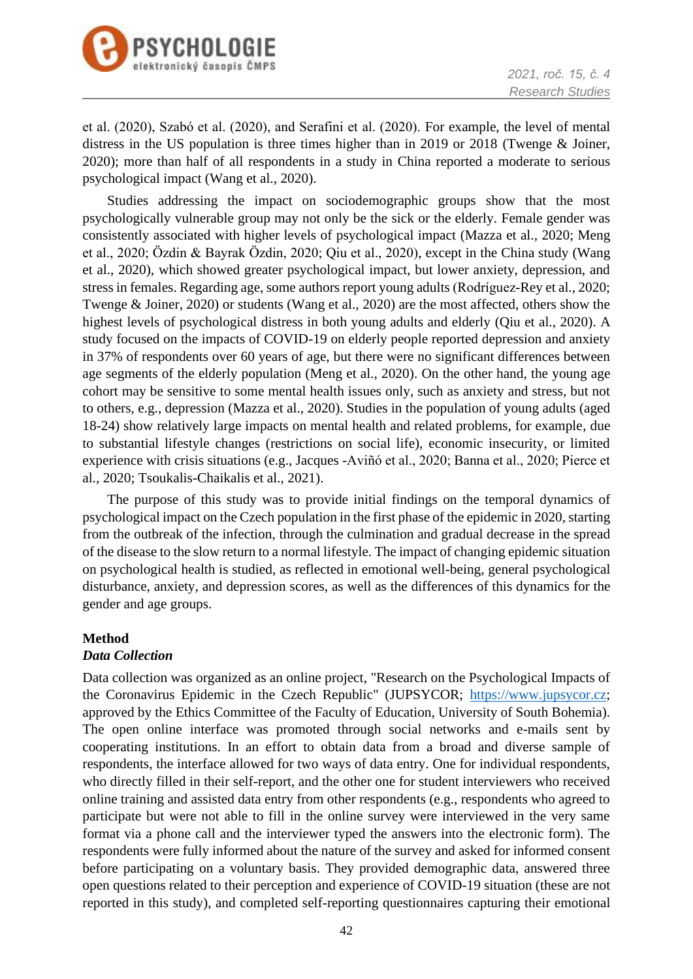



et al. (2020), Szabó et al. (2020), and Serafini et al. (2020). For example, the level of mental distress in the US population is three times higher than in 2019 or 2018 (Twenge & Joiner, 2020); more than half of all respondents in a study in China reported a moderate to serious psychological impact (Wang et al., 2020).

Studies addressing the impact on sociodemographic groups show that the most psychologically vulnerable group may not only be the sick or the elderly. Female gender was consistently associated with higher levels of psychological impact (Mazza et al., 2020; Meng et al., 2020; Özdin & Bayrak Özdin, 2020; Qiu et al., 2020), except in the China study (Wang et al., 2020), which showed greater psychological impact, but lower anxiety, depression, and stress in females. Regarding age, some authors report young adults (Rodríguez-Rey et al., 2020; Twenge & Joiner, 2020) or students (Wang et al., 2020) are the most affected, others show the highest levels of psychological distress in both young adults and elderly (Qiu et al., 2020). A study focused on the impacts of COVID-19 on elderly people reported depression and anxiety in 37% of respondents over 60 years of age, but there were no significant differences between age segments of the elderly population (Meng et al., 2020). On the other hand, the young age cohort may be sensitive to some mental health issues only, such as anxiety and stress, but not to others, e.g., depression (Mazza et al., 2020). Studies in the population of young adults (aged 18-24) show relatively large impacts on mental health and related problems, for example, due to substantial lifestyle changes (restrictions on social life), economic insecurity, or limited experience with crisis situations (e.g., Jacques -Aviñó et al., 2020; Banna et al., 2020; Pierce et al., 2020; Tsoukalis-Chaikalis et al., 2021).

The purpose of this study was to provide initial findings on the temporal dynamics of psychological impact on the Czech population in the first phase of the epidemic in 2020, starting from the outbreak of the infection, through the culmination and gradual decrease in the spread of the disease to the slow return to a normal lifestyle. The impact of changing epidemic situation on psychological health is studied, as reflected in emotional well-being, general psychological disturbance, anxiety, and depression scores, as well as the differences of this dynamics for the gender and age groups.

### **Method**

### *Data Collection*

Data collection was organized as an online project, "Research on the Psychological Impacts of the Coronavirus Epidemic in the Czech Republic" (JUPSYCOR; [https://www.jupsycor.cz;](https://www.jupsycor.cz/) approved by the Ethics Committee of the Faculty of Education, University of South Bohemia). The open online interface was promoted through social networks and e-mails sent by cooperating institutions. In an effort to obtain data from a broad and diverse sample of respondents, the interface allowed for two ways of data entry. One for individual respondents, who directly filled in their self-report, and the other one for student interviewers who received online training and assisted data entry from other respondents (e.g., respondents who agreed to participate but were not able to fill in the online survey were interviewed in the very same format via a phone call and the interviewer typed the answers into the electronic form). The respondents were fully informed about the nature of the survey and asked for informed consent before participating on a voluntary basis. They provided demographic data, answered three open questions related to their perception and experience of COVID-19 situation (these are not reported in this study), and completed self-reporting questionnaires capturing their emotional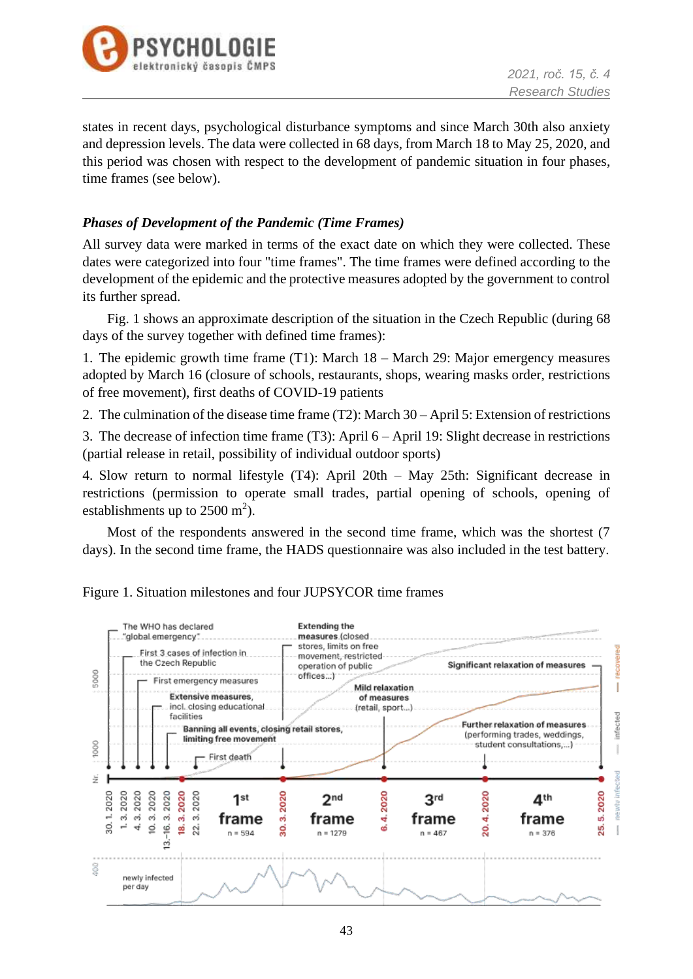

states in recent days, psychological disturbance symptoms and since March 30th also anxiety and depression levels. The data were collected in 68 days, from March 18 to May 25, 2020, and this period was chosen with respect to the development of pandemic situation in four phases, time frames (see below).

### *Phases of Development of the Pandemic (Time Frames)*

All survey data were marked in terms of the exact date on which they were collected. These dates were categorized into four "time frames". The time frames were defined according to the development of the epidemic and the protective measures adopted by the government to control its further spread.

Fig. 1 shows an approximate description of the situation in the Czech Republic (during 68 days of the survey together with defined time frames):

1. The epidemic growth time frame (T1): March 18 – March 29: Major emergency measures adopted by March 16 (closure of schools, restaurants, shops, wearing masks order, restrictions of free movement), first deaths of COVID-19 patients

2. The culmination of the disease time frame (T2): March 30 – April 5: Extension of restrictions

3. The decrease of infection time frame (T3): April 6 – April 19: Slight decrease in restrictions (partial release in retail, possibility of individual outdoor sports)

4. Slow return to normal lifestyle (T4): April 20th – May 25th: Significant decrease in restrictions (permission to operate small trades, partial opening of schools, opening of establishments up to  $2500 \text{ m}^2$ ).

Most of the respondents answered in the second time frame, which was the shortest (7 days). In the second time frame, the HADS questionnaire was also included in the test battery.



Figure 1. Situation milestones and four JUPSYCOR time frames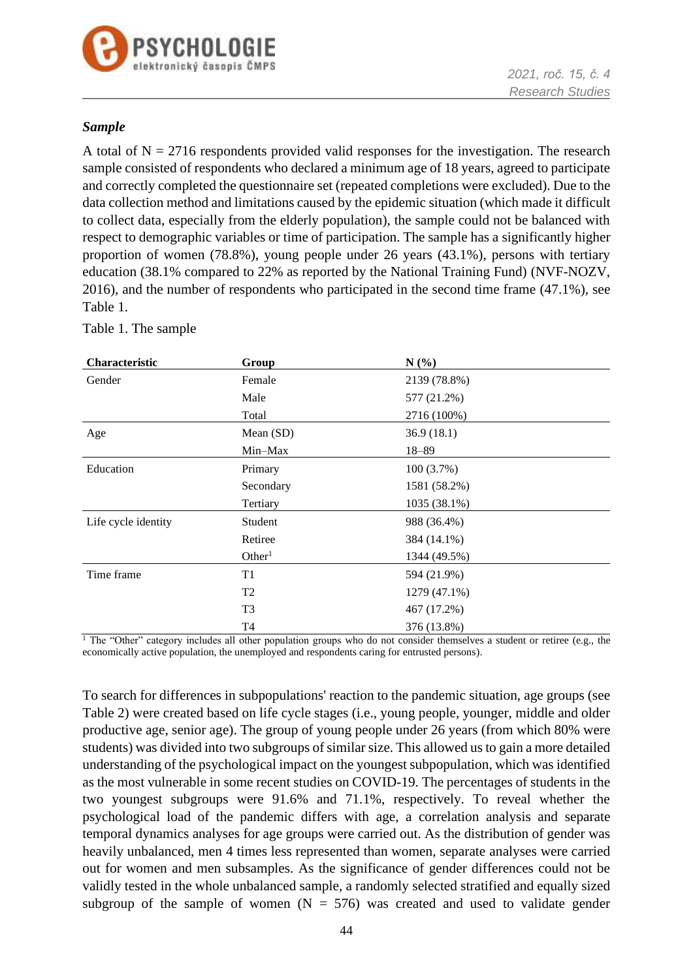

### *Sample*

A total of  $N = 2716$  respondents provided valid responses for the investigation. The research sample consisted of respondents who declared a minimum age of 18 years, agreed to participate and correctly completed the questionnaire set (repeated completions were excluded). Due to the data collection method and limitations caused by the epidemic situation (which made it difficult to collect data, especially from the elderly population), the sample could not be balanced with respect to demographic variables or time of participation. The sample has a significantly higher proportion of women (78.8%), young people under 26 years (43.1%), persons with tertiary education (38.1% compared to 22% as reported by the National Training Fund) (NVF-NOZV, 2016), and the number of respondents who participated in the second time frame (47.1%), see Table 1.

| Characteristic      | Group              | N(%)         |  |
|---------------------|--------------------|--------------|--|
| Gender              | Female             | 2139 (78.8%) |  |
|                     | Male               | 577 (21.2%)  |  |
|                     | Total              | 2716 (100%)  |  |
| Age                 | Mean (SD)          | 36.9(18.1)   |  |
|                     | Min-Max            | $18 - 89$    |  |
| Education           | Primary            | 100(3.7%)    |  |
|                     | Secondary          | 1581 (58.2%) |  |
|                     | Tertiary           | 1035 (38.1%) |  |
| Life cycle identity | Student            | 988 (36.4%)  |  |
|                     | Retiree            | 384 (14.1%)  |  |
|                     | Other <sup>1</sup> | 1344 (49.5%) |  |
| Time frame          | T <sub>1</sub>     | 594 (21.9%)  |  |
|                     | T <sub>2</sub>     | 1279 (47.1%) |  |
|                     | T <sub>3</sub>     | 467 (17.2%)  |  |
|                     | T4                 | 376 (13.8%)  |  |

Table 1. The sample

<sup>1</sup> The "Other" category includes all other population groups who do not consider themselves a student or retiree (e.g., the economically active population, the unemployed and respondents caring for entrusted persons).

To search for differences in subpopulations' reaction to the pandemic situation, age groups (see Table 2) were created based on life cycle stages (i.e., young people, younger, middle and older productive age, senior age). The group of young people under 26 years (from which 80% were students) was divided into two subgroups of similar size. This allowed us to gain a more detailed understanding of the psychological impact on the youngest subpopulation, which was identified as the most vulnerable in some recent studies on COVID-19. The percentages of students in the two youngest subgroups were 91.6% and 71.1%, respectively. To reveal whether the psychological load of the pandemic differs with age, a correlation analysis and separate temporal dynamics analyses for age groups were carried out. As the distribution of gender was heavily unbalanced, men 4 times less represented than women, separate analyses were carried out for women and men subsamples. As the significance of gender differences could not be validly tested in the whole unbalanced sample, a randomly selected stratified and equally sized subgroup of the sample of women  $(N = 576)$  was created and used to validate gender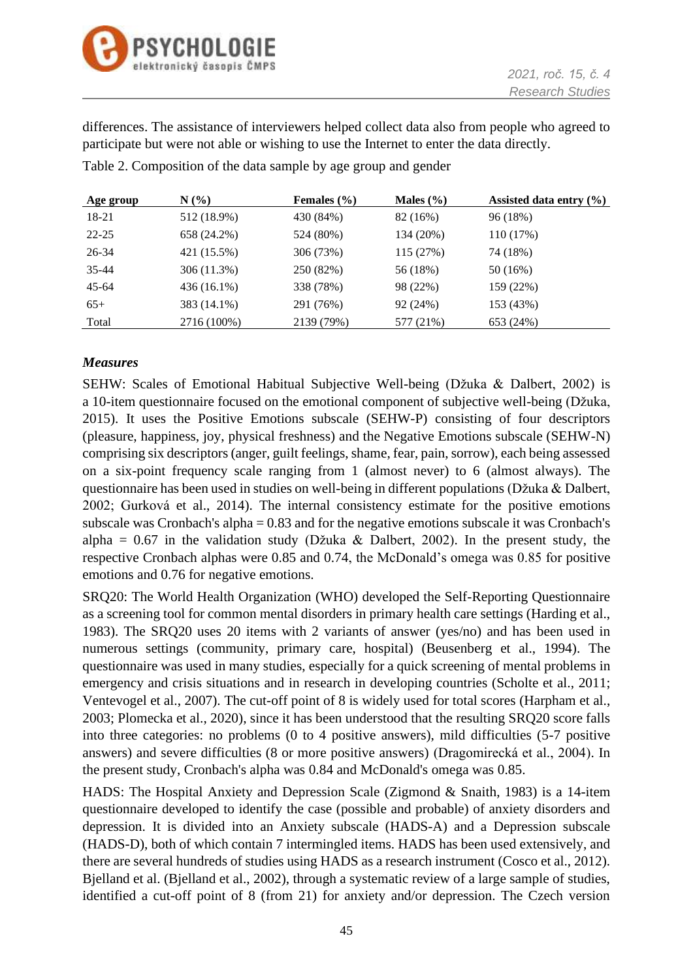

differences. The assistance of interviewers helped collect data also from people who agreed to participate but were not able or wishing to use the Internet to enter the data directly.

Table 2. Composition of the data sample by age group and gender

| Age group | $N(\%)$     | Females $(\% )$ | Males $(\% )$ | Assisted data entry $(\% )$ |
|-----------|-------------|-----------------|---------------|-----------------------------|
| 18-21     | 512 (18.9%) | 430 (84%)       | 82 (16%)      | 96 (18%)                    |
| $22 - 25$ | 658 (24.2%) | 524 (80%)       | 134 (20%)     | 110(17%)                    |
| 26-34     | 421 (15.5%) | 306 (73%)       | 115 (27%)     | 74 (18%)                    |
| $35 - 44$ | 306 (11.3%) | 250 (82%)       | 56 (18%)      | 50 (16%)                    |
| $45 - 64$ | 436 (16.1%) | 338 (78%)       | 98 (22%)      | 159 (22%)                   |
| $65+$     | 383 (14.1%) | 291 (76%)       | 92 (24%)      | 153 (43%)                   |
| Total     | 2716 (100%) | 2139 (79%)      | 577 (21%)     | 653 (24%)                   |

## *Measures*

SEHW: Scales of Emotional Habitual Subjective Well-being (Džuka & Dalbert, 2002) is a 10-item questionnaire focused on the emotional component of subjective well-being (Džuka, 2015). It uses the Positive Emotions subscale (SEHW-P) consisting of four descriptors (pleasure, happiness, joy, physical freshness) and the Negative Emotions subscale (SEHW-N) comprising six descriptors (anger, guilt feelings, shame, fear, pain, sorrow), each being assessed on a six-point frequency scale ranging from 1 (almost never) to 6 (almost always). The questionnaire has been used in studies on well-being in different populations (Džuka & Dalbert, 2002; Gurková et al., 2014). The internal consistency estimate for the positive emotions subscale was Cronbach's alpha = 0.83 and for the negative emotions subscale it was Cronbach's alpha =  $0.67$  in the validation study (Džuka & Dalbert, 2002). In the present study, the respective Cronbach alphas were 0.85 and 0.74, the McDonald's omega was 0.85 for positive emotions and 0.76 for negative emotions.

SRQ20: The World Health Organization (WHO) developed the Self-Reporting Questionnaire as a screening tool for common mental disorders in primary health care settings (Harding et al., 1983). The SRQ20 uses 20 items with 2 variants of answer (yes/no) and has been used in numerous settings (community, primary care, hospital) (Beusenberg et al., 1994). The questionnaire was used in many studies, especially for a quick screening of mental problems in emergency and crisis situations and in research in developing countries (Scholte et al., 2011; Ventevogel et al., 2007). The cut-off point of 8 is widely used for total scores (Harpham et al., 2003; Plomecka et al., 2020), since it has been understood that the resulting SRQ20 score falls into three categories: no problems (0 to 4 positive answers), mild difficulties (5-7 positive answers) and severe difficulties (8 or more positive answers) (Dragomirecká et al., 2004). In the present study, Cronbach's alpha was 0.84 and McDonald's omega was 0.85.

HADS: The Hospital Anxiety and Depression Scale (Zigmond & Snaith, 1983) is a 14-item questionnaire developed to identify the case (possible and probable) of anxiety disorders and depression. It is divided into an Anxiety subscale (HADS-A) and a Depression subscale (HADS-D), both of which contain 7 intermingled items. HADS has been used extensively, and there are several hundreds of studies using HADS as a research instrument (Cosco et al., 2012). Bjelland et al. (Bjelland et al., 2002), through a systematic review of a large sample of studies, identified a cut-off point of 8 (from 21) for anxiety and/or depression. The Czech version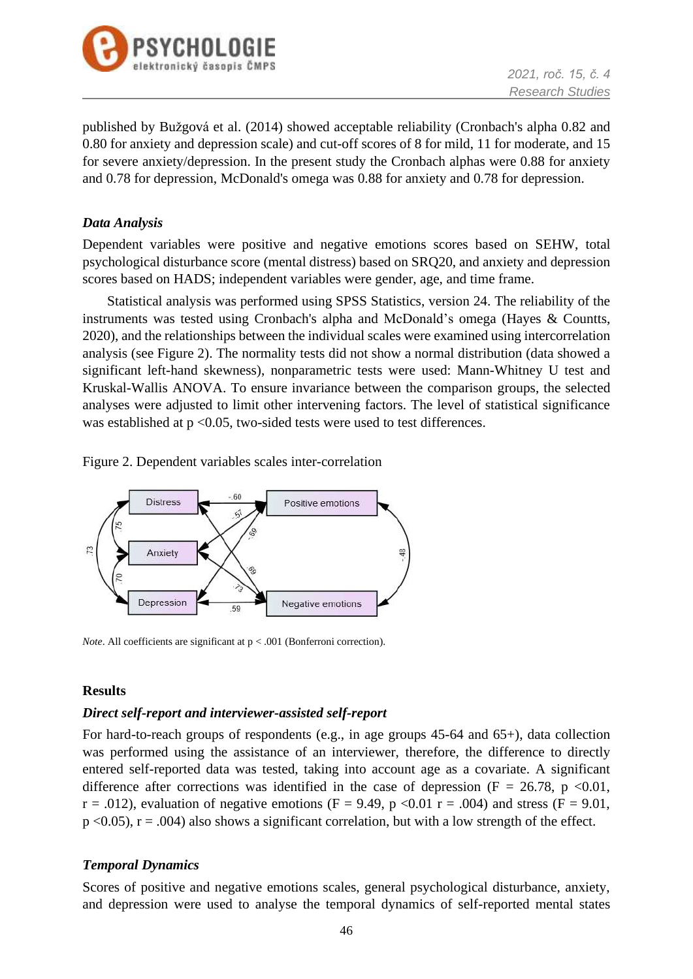

published by Bužgová et al. (2014) showed acceptable reliability (Cronbach's alpha 0.82 and 0.80 for anxiety and depression scale) and cut-off scores of 8 for mild, 11 for moderate, and 15 for severe anxiety/depression. In the present study the Cronbach alphas were 0.88 for anxiety and 0.78 for depression, McDonald's omega was 0.88 for anxiety and 0.78 for depression.

### *Data Analysis*

Dependent variables were positive and negative emotions scores based on SEHW, total psychological disturbance score (mental distress) based on SRQ20, and anxiety and depression scores based on HADS; independent variables were gender, age, and time frame.

Statistical analysis was performed using SPSS Statistics, version 24. The reliability of the instruments was tested using Cronbach's alpha and McDonald's omega (Hayes & Countts, 2020), and the relationships between the individual scales were examined using intercorrelation analysis (see Figure 2). The normality tests did not show a normal distribution (data showed a significant left-hand skewness), nonparametric tests were used: Mann-Whitney U test and Kruskal-Wallis ANOVA. To ensure invariance between the comparison groups, the selected analyses were adjusted to limit other intervening factors. The level of statistical significance was established at  $p < 0.05$ , two-sided tests were used to test differences.

Figure 2. Dependent variables scales inter-correlation



*Note*. All coefficients are significant at  $p < .001$  (Bonferroni correction).

### **Results**

### *Direct self-report and interviewer-assisted self-report*

For hard-to-reach groups of respondents (e.g., in age groups 45-64 and 65+), data collection was performed using the assistance of an interviewer, therefore, the difference to directly entered self-reported data was tested, taking into account age as a covariate. A significant difference after corrections was identified in the case of depression ( $F = 26.78$ , p <0.01,  $r = .012$ ), evaluation of negative emotions (F = 9.49, p < 0.01  $r = .004$ ) and stress (F = 9.01,  $p$  <0.05),  $r = .004$ ) also shows a significant correlation, but with a low strength of the effect.

### *Temporal Dynamics*

Scores of positive and negative emotions scales, general psychological disturbance, anxiety, and depression were used to analyse the temporal dynamics of self-reported mental states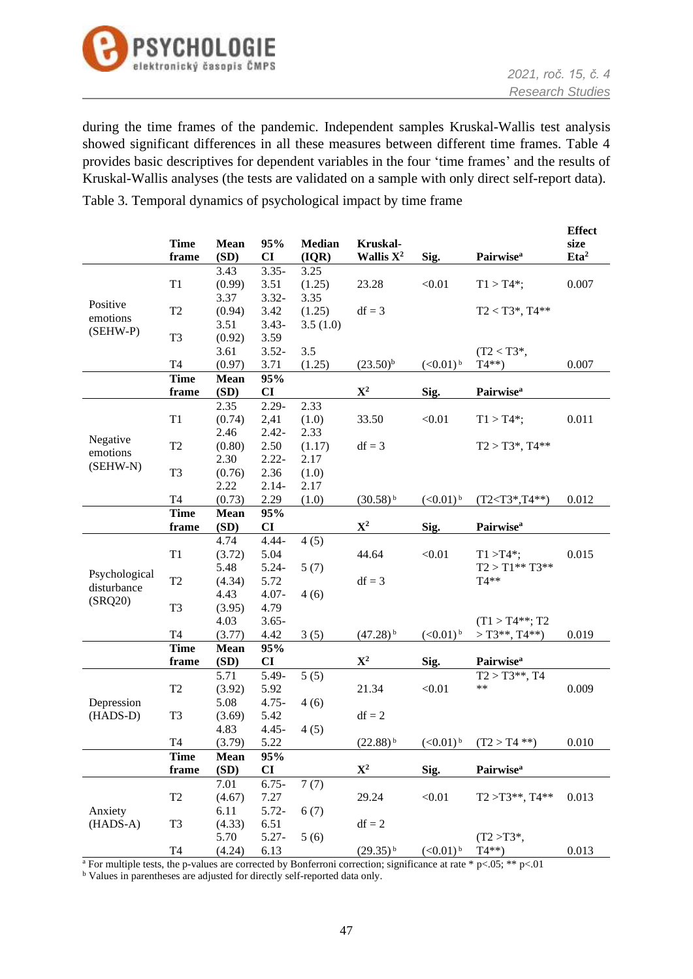

during the time frames of the pandemic. Independent samples Kruskal-Wallis test analysis showed significant differences in all these measures between different time frames. Table 4 provides basic descriptives for dependent variables in the four 'time frames' and the results of Kruskal-Wallis analyses (the tests are validated on a sample with only direct self-report data).

Table 3. Temporal dynamics of psychological impact by time frame

|               |                     |              |           |               |                        |                        |                              | <b>Effect</b>    |
|---------------|---------------------|--------------|-----------|---------------|------------------------|------------------------|------------------------------|------------------|
|               | <b>Time</b>         | Mean         | 95%       | <b>Median</b> | Kruskal-               |                        |                              | size             |
|               | frame               | (SD)         | CI        | (IQR)         | Wallis $X^2$           | Sig.                   | <b>Pairwise</b> <sup>a</sup> | Eta <sup>2</sup> |
|               |                     | 3.43         | $3.35 -$  | 3.25          |                        |                        |                              |                  |
|               | $\mathrm{T}1$       | (0.99)       | 3.51      | (1.25)        | 23.28                  | < 0.01                 | $T1 > T4$ *;                 | 0.007            |
| Positive      |                     | 3.37         | $3.32 -$  | 3.35          |                        |                        |                              |                  |
| emotions      | T <sub>2</sub>      | (0.94)       | 3.42      | (1.25)        | $df = 3$               |                        | $T2 < T3^*$ , $T4^{**}$      |                  |
| (SEHW-P)      |                     | 3.51         | $3.43 -$  | 3.5(1.0)      |                        |                        |                              |                  |
|               | T <sub>3</sub>      | (0.92)       | 3.59      |               |                        |                        |                              |                  |
|               |                     | 3.61         | $3.52 -$  | 3.5           |                        |                        | $(T2 < T3^*$ ,               |                  |
|               | T <sub>4</sub>      | (0.97)       | 3.71      | (1.25)        | $(23.50)^{b}$          | $(<0.01)$ <sup>b</sup> | $T4**$                       | 0.007            |
|               | <b>Time</b>         | <b>Mean</b>  | 95%<br>CI |               | ${\bf X}^2$            |                        | <b>Pairwise</b> <sup>a</sup> |                  |
|               | frame               | (SD)<br>2.35 | $2.29 -$  | 2.33          |                        | Sig.                   |                              |                  |
|               | $\mathrm{T}1$       | (0.74)       | 2,41      | (1.0)         | 33.50                  | < 0.01                 | $T1 > T4$ *;                 | 0.011            |
|               |                     | 2.46         | $2.42 -$  | 2.33          |                        |                        |                              |                  |
| Negative      | T <sub>2</sub>      | (0.80)       | 2.50      | (1.17)        | $df = 3$               |                        | $T2 > T3^*$ , $T4^{**}$      |                  |
| emotions      |                     | 2.30         | $2.22 -$  | 2.17          |                        |                        |                              |                  |
| (SEHW-N)      | T <sub>3</sub>      | (0.76)       | 2.36      | (1.0)         |                        |                        |                              |                  |
|               |                     | 2.22         | $2.14-$   | 2.17          |                        |                        |                              |                  |
|               | T <sub>4</sub>      | (0.73)       | 2.29      | (1.0)         | $(30.58)^{b}$          | $(<0.01)$ <sup>b</sup> | $(T2 < T3^*, T4^{**})$       | 0.012            |
|               | <b>Time</b>         | <b>Mean</b>  | 95%       |               |                        |                        |                              |                  |
|               | frame               | (SD)         | CI        |               | ${\bf X}^2$            | Sig.                   | <b>Pairwise</b> <sup>a</sup> |                  |
|               |                     | 4.74         | $4.44 -$  | 4(5)          |                        |                        |                              |                  |
|               | T1                  | (3.72)       | 5.04      |               | 44.64                  | < 0.01                 | $T1 > T4$ *;                 | 0.015            |
|               |                     | 5.48         | $5.24 -$  | 5(7)          |                        |                        | $T2 > T1***T3**$             |                  |
| Psychological | T <sub>2</sub>      | (4.34)       | 5.72      |               | $df = 3$               |                        | $T4**$                       |                  |
| disturbance   |                     | 4.43         | $4.07 -$  | 4(6)          |                        |                        |                              |                  |
| (SRQ20)       | T <sub>3</sub>      | (3.95)       | 4.79      |               |                        |                        |                              |                  |
|               |                     | 4.03         | $3.65 -$  |               |                        |                        | $(T1 > T4**; T2)$            |                  |
|               | T <sub>4</sub>      | (3.77)       | 4.42      | 3(5)          | $(47.28)^{b}$          | $(<0.01)$ <sup>b</sup> | $>$ T3**, T4**)              | 0.019            |
|               | <b>Time</b>         | <b>Mean</b>  | 95%       |               |                        |                        |                              |                  |
|               | frame               | (SD)         | CI        |               | $\mathbf{X}^2$         | Sig.                   | <b>Pairwise</b> <sup>a</sup> |                  |
|               |                     | 5.71         | 5.49-     | 5(5)          |                        |                        | $T2 > T3**$ , T4             |                  |
|               | T <sub>2</sub>      | (3.92)       | 5.92      |               | 21.34                  | < 0.01                 | **                           | 0.009            |
| Depression    |                     | 5.08         | $4.75 -$  | 4(6)          |                        |                        |                              |                  |
| (HADS-D)      | T <sub>3</sub>      | (3.69)       | 5.42      |               | $df = 2$               |                        |                              |                  |
|               |                     | 4.83         | $4.45 -$  | 4(5)          |                        |                        |                              |                  |
|               | T <sub>4</sub>      | (3.79)       | 5.22      |               | $(22.88)$ <sup>b</sup> | $(<0.01)$ <sup>b</sup> | $(T2 > T4 **$                | 0.010            |
|               | <b>Time</b>         | <b>Mean</b>  | 95%       |               |                        |                        |                              |                  |
|               | frame               | (SD)         | CI        |               | ${\bf X}^2$            | Sig.                   | <b>Pairwise</b> <sup>a</sup> |                  |
|               |                     | 7.01         | $6.75 -$  | 7(7)          |                        |                        |                              |                  |
|               | T2                  | (4.67)       | 7.27      |               | 29.24                  | < 0.01                 | $T2 > T3**$ , $T4**$         | 0.013            |
| Anxiety       |                     | 6.11         | $5.72-$   | 6(7)          |                        |                        |                              |                  |
| $(HADS-A)$    | T <sub>3</sub>      | (4.33)       | 6.51      |               | $df = 2$               |                        |                              |                  |
|               |                     | 5.70         | $5.27 -$  | 5(6)          |                        |                        | $(T2 > T3^*$ ,               |                  |
|               | $\operatorname{T4}$ | (4.24)       | 6.13      |               | $(29.35)^{b}$          | $(<0.01)$ <sup>b</sup> | $T4**$                       | 0.013            |

<sup>a</sup> For multiple tests, the p-values are corrected by Bonferroni correction; significance at rate \* p<.05; \*\* p<.01

<sup>b</sup> Values in parentheses are adjusted for directly self-reported data only.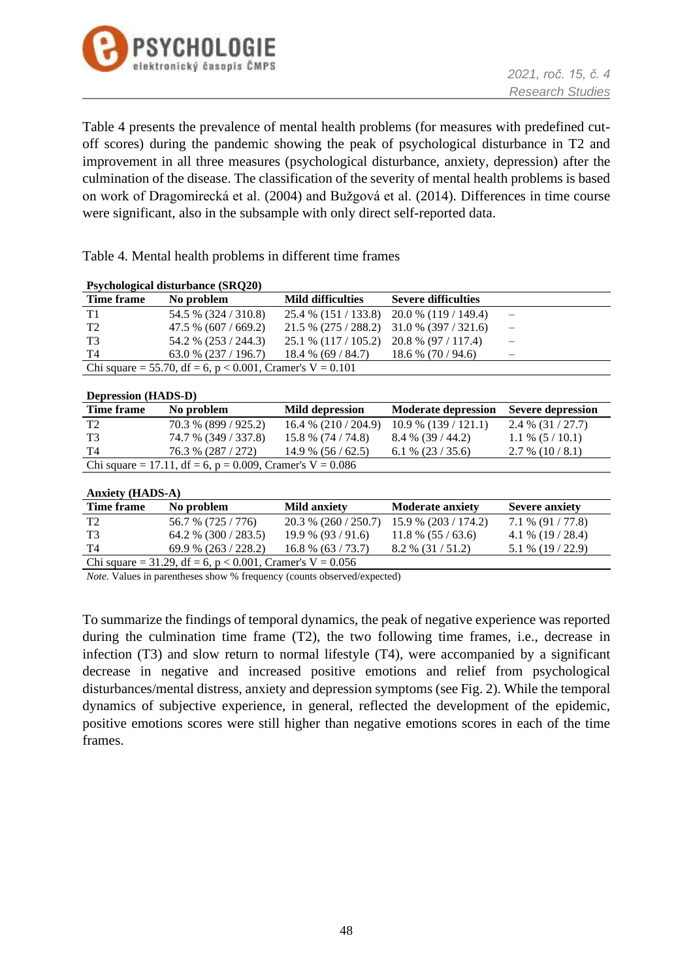

Table 4 presents the prevalence of mental health problems (for measures with predefined cutoff scores) during the pandemic showing the peak of psychological disturbance in T2 and improvement in all three measures (psychological disturbance, anxiety, depression) after the culmination of the disease. The classification of the severity of mental health problems is based on work of Dragomirecká et al. (2004) and Bužgová et al. (2014). Differences in time course were significant, also in the subsample with only direct self-reported data.

Table 4. Mental health problems in different time frames

| <b>Property Controller (SKVZV)</b> |                                                             |                                             |                            |  |  |  |  |
|------------------------------------|-------------------------------------------------------------|---------------------------------------------|----------------------------|--|--|--|--|
| Time frame                         | No problem                                                  | <b>Mild difficulties</b>                    | <b>Severe difficulties</b> |  |  |  |  |
| T1                                 | 54.5 % (324 / 310.8)                                        | $25.4\%$ (151/133.8) 20.0 % (119/149.4)     |                            |  |  |  |  |
| T <sub>2</sub>                     | $47.5\%$ (607 / 669.2)                                      | $21.5\%$ (275 / 288.2) 31.0 % (397 / 321.6) |                            |  |  |  |  |
| T3                                 | 54.2 % (253 / 244.3)                                        | $25.1\%$ (117 / 105.2) 20.8 % (97 / 117.4)  |                            |  |  |  |  |
| T4                                 | $63.0\%$ (237 / 196.7)                                      | $18.4\%$ (69 / 84.7) $18.6\%$ (70 / 94.6)   |                            |  |  |  |  |
|                                    | Chi square = 55.70, df = 6, p < 0.001, Cramer's $V = 0.101$ |                                             |                            |  |  |  |  |

**Psychological disturbance (SRQ20)**

| <b>Depression (HADS-D)</b>                                  |                      |                        |                            |                          |  |  |
|-------------------------------------------------------------|----------------------|------------------------|----------------------------|--------------------------|--|--|
| Time frame                                                  | No problem           | Mild depression        | <b>Moderate depression</b> | <b>Severe depression</b> |  |  |
| T2                                                          | 70.3 % (899 / 925.2) | $16.4\%$ (210 / 204.9) | $10.9\%$ (139 / 121.1)     | $2.4\%$ (31/27.7)        |  |  |
| <b>T3</b>                                                   | 74.7 % (349 / 337.8) | $15.8\%$ (74 / 74.8)   | $8.4\%$ (39 / 44.2)        | $1.1\%$ (5/10.1)         |  |  |
| T4                                                          | 76.3 % (287 / 272)   | $14.9\%$ (56/62.5)     | $6.1\%$ (23/35.6)          | $2.7\%$ (10/8.1)         |  |  |
| Chi square = 17.11, df = 6, p = 0.009, Cramer's $V = 0.086$ |                      |                        |                            |                          |  |  |

| Anxiety (HADS-A) |                                                              |                     |                                             |                       |  |  |  |  |
|------------------|--------------------------------------------------------------|---------------------|---------------------------------------------|-----------------------|--|--|--|--|
| Time frame       | No problem                                                   | <b>Mild anxiety</b> | <b>Moderate anxiety</b>                     | <b>Severe anxiety</b> |  |  |  |  |
| T <sub>2</sub>   | 56.7 % (725 / 776)                                           |                     | $20.3\%$ (260 / 250.7) 15.9 % (203 / 174.2) | $7.1\%$ (91 / 77.8)   |  |  |  |  |
| T3               | 64.2 % $(300 / 283.5)$                                       | $19.9\%$ (93/91.6)  | $11.8\%$ (55 / 63.6)                        | 4.1 % $(19/28.4)$     |  |  |  |  |
| - T4             | $69.9\%$ (263 / 228.2)                                       | $16.8\%$ (63/73.7)  | $8.2\%$ (31/51.2)                           | $5.1\%$ (19 / 22.9)   |  |  |  |  |
|                  | Chi square = 31.29, df = 6, $p < 0.001$ , Cramer's V = 0.056 |                     |                                             |                       |  |  |  |  |

*Note*. Values in parentheses show % frequency (counts observed/expected)

To summarize the findings of temporal dynamics, the peak of negative experience was reported during the culmination time frame (T2), the two following time frames, i.e., decrease in infection (T3) and slow return to normal lifestyle (T4), were accompanied by a significant decrease in negative and increased positive emotions and relief from psychological disturbances/mental distress, anxiety and depression symptoms (see Fig. 2). While the temporal dynamics of subjective experience, in general, reflected the development of the epidemic, positive emotions scores were still higher than negative emotions scores in each of the time frames.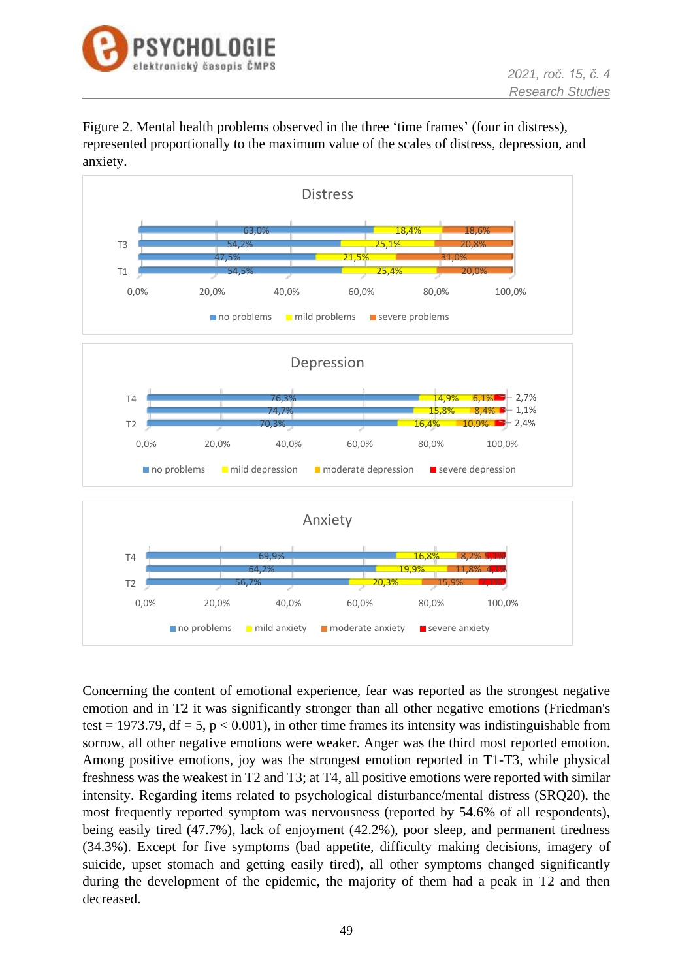

Figure 2. Mental health problems observed in the three 'time frames' (four in distress), represented proportionally to the maximum value of the scales of distress, depression, and anxiety.



Concerning the content of emotional experience, fear was reported as the strongest negative emotion and in T2 it was significantly stronger than all other negative emotions (Friedman's test = 1973.79, df = 5,  $p < 0.001$ ), in other time frames its intensity was indistinguishable from sorrow, all other negative emotions were weaker. Anger was the third most reported emotion. Among positive emotions, joy was the strongest emotion reported in T1-T3, while physical freshness was the weakest in T2 and T3; at T4, all positive emotions were reported with similar intensity. Regarding items related to psychological disturbance/mental distress (SRQ20), the most frequently reported symptom was nervousness (reported by 54.6% of all respondents), being easily tired (47.7%), lack of enjoyment (42.2%), poor sleep, and permanent tiredness (34.3%). Except for five symptoms (bad appetite, difficulty making decisions, imagery of suicide, upset stomach and getting easily tired), all other symptoms changed significantly during the development of the epidemic, the majority of them had a peak in T2 and then decreased.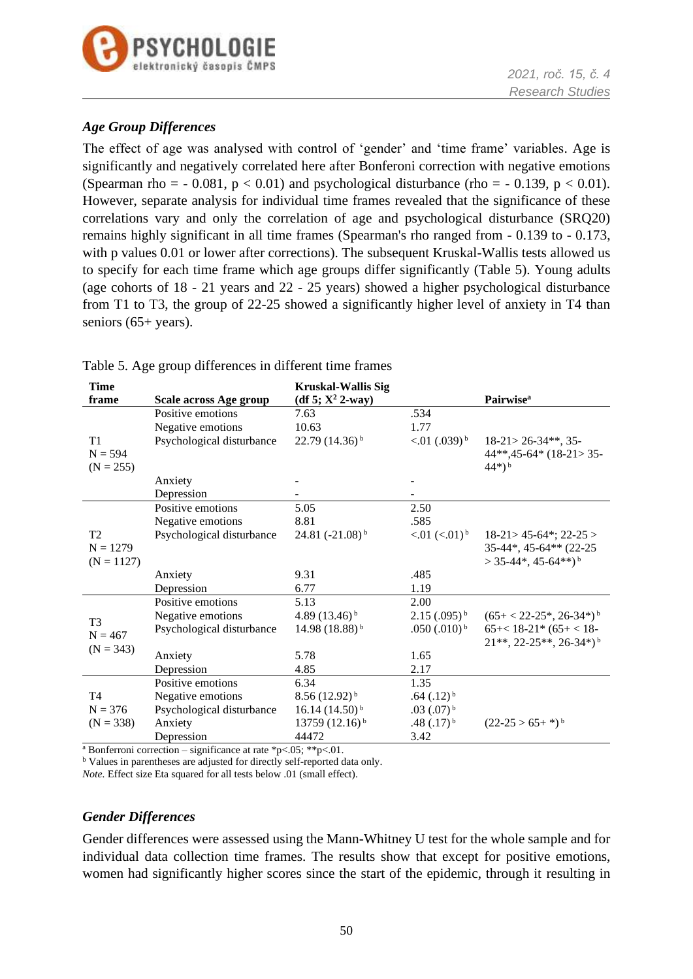

### *Age Group Differences*

The effect of age was analysed with control of 'gender' and 'time frame' variables. Age is significantly and negatively correlated here after Bonferoni correction with negative emotions (Spearman rho =  $-0.081$ , p < 0.01) and psychological disturbance (rho =  $-0.139$ , p < 0.01). However, separate analysis for individual time frames revealed that the significance of these correlations vary and only the correlation of age and psychological disturbance (SRQ20) remains highly significant in all time frames (Spearman's rho ranged from - 0.139 to - 0.173, with p values 0.01 or lower after corrections). The subsequent Kruskal-Wallis tests allowed us to specify for each time frame which age groups differ significantly (Table 5). Young adults (age cohorts of 18 - 21 years and 22 - 25 years) showed a higher psychological disturbance from T1 to T3, the group of 22-25 showed a significantly higher level of anxiety in T4 than seniors (65+ years).

| Time           |                           | <b>Kruskal-Wallis Sig</b>  |                                |                                          |
|----------------|---------------------------|----------------------------|--------------------------------|------------------------------------------|
| frame          | Scale across Age group    | (df 5; $X^2$ 2-way)        |                                | <b>Pairwise</b> <sup>a</sup>             |
|                | Positive emotions         | 7.63                       | .534                           |                                          |
|                | Negative emotions         | 10.63                      | 1.77                           |                                          |
| T1             | Psychological disturbance | $22.79(14.36)^{b}$         | $< 0.01$ (.039) <sup>b</sup>   | $18-21 > 26-34**$ , 35-                  |
| $N = 594$      |                           |                            |                                | 44**,45-64* (18-21>35-                   |
| $(N = 255)$    |                           |                            |                                | $(44*)^b$                                |
|                | Anxiety                   |                            |                                |                                          |
|                | Depression                |                            |                                |                                          |
|                | Positive emotions         | 5.05                       | 2.50                           |                                          |
|                | Negative emotions         | 8.81                       | .585                           |                                          |
| T <sub>2</sub> | Psychological disturbance | $24.81 (-21.08)^{b}$       | $< 01$ ( $< 01$ ) <sup>b</sup> | $18-21 > 45-64$ <sup>*</sup> ; $22-25 >$ |
| $N = 1279$     |                           |                            |                                | 35-44*, 45-64** (22-25                   |
| $(N = 1127)$   |                           |                            |                                | $>$ 35-44*, 45-64**) <sup>b</sup>        |
|                | Anxiety                   | 9.31                       | .485                           |                                          |
|                | Depression                | 6.77                       | 1.19                           |                                          |
|                | Positive emotions         | 5.13                       | 2.00                           |                                          |
| T <sub>3</sub> | Negative emotions         | 4.89 $(13.46)^{b}$         | $2.15(.095)^{b}$               | $(65 + 22-25^*, 26-34*)b$                |
| $N = 467$      | Psychological disturbance | 14.98 (18.88) <sup>b</sup> | $.050$ $(.010)^{b}$            | $65 + < 18 - 21$ * $(65 + < 18 -$        |
| $(N = 343)$    |                           |                            |                                | $21***$ , 22-25**, 26-34*) <sup>b</sup>  |
|                | Anxiety                   | 5.78                       | 1.65                           |                                          |
|                | Depression                | 4.85                       | 2.17                           |                                          |
|                | Positive emotions         | 6.34                       | 1.35                           |                                          |
| T <sub>4</sub> | Negative emotions         | $8.56(12.92)^{b}$          | $.64$ $(.12)^{b}$              |                                          |
| $N = 376$      | Psychological disturbance | $16.14(14.50)^{b}$         | $.03$ $(.07)^{b}$              |                                          |
| $(N = 338)$    | Anxiety                   | 13759 (12.16) <sup>b</sup> | $.48$ $(.17)^{b}$              | $(22-25 > 65+*)^b$                       |
|                | Depression                | 44472                      | 3.42                           |                                          |

### Table 5. Age group differences in different time frames

<sup>a</sup> Bonferroni correction – significance at rate \*p<.05; \*\*p<.01.

<sup>b</sup> Values in parentheses are adjusted for directly self-reported data only.

*Note.* Effect size Eta squared for all tests below .01 (small effect).

### *Gender Differences*

Gender differences were assessed using the Mann-Whitney U test for the whole sample and for individual data collection time frames. The results show that except for positive emotions, women had significantly higher scores since the start of the epidemic, through it resulting in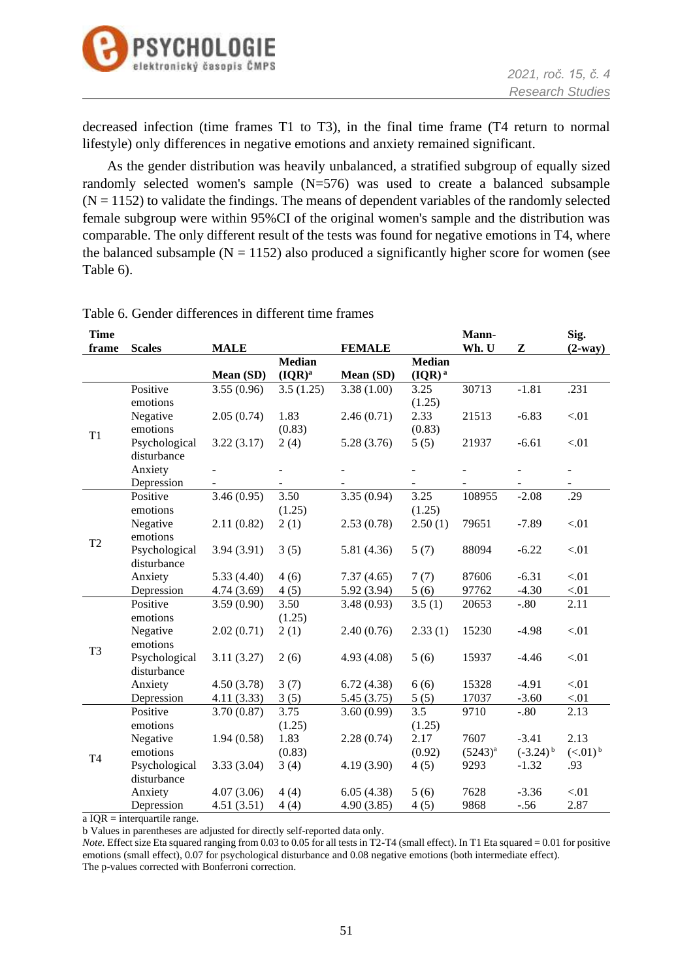

decreased infection (time frames T1 to T3), in the final time frame (T4 return to normal lifestyle) only differences in negative emotions and anxiety remained significant.

As the gender distribution was heavily unbalanced, a stratified subgroup of equally sized randomly selected women's sample (N=576) was used to create a balanced subsample  $(N = 1152)$  to validate the findings. The means of dependent variables of the randomly selected female subgroup were within 95%CI of the original women's sample and the distribution was comparable. The only different result of the tests was found for negative emotions in T4, where the balanced subsample  $(N = 1152)$  also produced a significantly higher score for women (see Table 6).

| <b>Time</b>    |               |             |               |               |               | Mann-        |                        | Sig.                  |
|----------------|---------------|-------------|---------------|---------------|---------------|--------------|------------------------|-----------------------|
| frame          | <b>Scales</b> | <b>MALE</b> |               | <b>FEMALE</b> |               | Wh. U        | Z                      | $(2-way)$             |
|                |               |             | <b>Median</b> |               | <b>Median</b> |              |                        |                       |
|                |               | Mean (SD)   | $(IQR)^a$     | Mean (SD)     | $(IQR)^a$     |              |                        |                       |
|                | Positive      | 3.55(0.96)  | 3.5(1.25)     | 3.38(1.00)    | 3.25          | 30713        | $-1.81$                | .231                  |
|                | emotions      |             |               |               | (1.25)        |              |                        |                       |
|                | Negative      | 2.05(0.74)  | 1.83          | 2.46(0.71)    | 2.33          | 21513        | $-6.83$                | < 01                  |
| T <sub>1</sub> | emotions      |             | (0.83)        |               | (0.83)        |              |                        |                       |
|                | Psychological | 3.22(3.17)  | 2(4)          | 5.28(3.76)    | 5(5)          | 21937        | $-6.61$                | < 01                  |
|                | disturbance   |             |               |               |               |              |                        |                       |
|                | Anxiety       |             |               |               |               |              |                        |                       |
|                | Depression    |             |               |               |               |              |                        |                       |
|                | Positive      | 3.46(0.95)  | 3.50          | 3.35(0.94)    | 3.25          | 108955       | $-2.08$                | .29                   |
|                | emotions      |             | (1.25)        |               | (1.25)        |              |                        |                       |
|                | Negative      | 2.11(0.82)  | 2(1)          | 2.53(0.78)    | 2.50(1)       | 79651        | $-7.89$                | < 01                  |
| T <sub>2</sub> | emotions      |             |               |               |               |              |                        |                       |
|                | Psychological | 3.94(3.91)  | 3(5)          | 5.81 (4.36)   | 5(7)          | 88094        | $-6.22$                | < 01                  |
|                | disturbance   |             |               |               |               |              |                        |                       |
|                | Anxiety       | 5.33(4.40)  | 4(6)          | 7.37(4.65)    | 7(7)          | 87606        | $-6.31$                | < 01                  |
|                | Depression    | 4.74(3.69)  | 4(5)          | 5.92(3.94)    | 5(6)          | 97762        | $-4.30$                | < 01                  |
|                | Positive      | 3.59(0.90)  | 3.50          | 3.48(0.93)    | 3.5(1)        | 20653        | $-.80$                 | 2.11                  |
|                | emotions      |             | (1.25)        |               |               |              |                        |                       |
|                | Negative      | 2.02(0.71)  | 2(1)          | 2.40(0.76)    | 2.33(1)       | 15230        | $-4.98$                | < 01                  |
| T <sub>3</sub> | emotions      |             |               |               |               |              |                        |                       |
|                | Psychological | 3.11(3.27)  | 2(6)          | 4.93(4.08)    | 5(6)          | 15937        | $-4.46$                | $< 01$                |
|                | disturbance   |             |               |               |               |              |                        |                       |
|                | Anxiety       | 4.50(3.78)  | 3(7)          | 6.72(4.38)    | 6(6)          | 15328        | $-4.91$                | < 01                  |
|                | Depression    | 4.11(3.33)  | 3(5)          | 5.45(3.75)    | 5(5)          | 17037        | $-3.60$                | < 01                  |
|                | Positive      | 3.70(0.87)  | 3.75          | 3.60(0.99)    | 3.5           | 9710         | $-.80$                 | 2.13                  |
|                | emotions      |             | (1.25)        |               | (1.25)        |              |                        |                       |
|                | Negative      | 1.94(0.58)  | 1.83          | 2.28(0.74)    | 2.17          | 7607         | $-3.41$                | 2.13                  |
| <b>T4</b>      | emotions      |             | (0.83)        |               | (0.92)        | $(5243)^{a}$ | $(-3.24)$ <sup>b</sup> | $(<.01)$ <sup>b</sup> |
|                | Psychological | 3.33(3.04)  | 3(4)          | 4.19(3.90)    | 4(5)          | 9293         | $-1.32$                | .93                   |
|                | disturbance   |             |               |               |               |              |                        |                       |
|                | Anxiety       | 4.07(3.06)  | 4(4)          | 6.05(4.38)    | 5(6)          | 7628         | $-3.36$                | < 01                  |
|                | Depression    | 4.51(3.51)  | 4(4)          | 4.90(3.85)    | 4(5)          | 9868         | $-.56$                 | 2.87                  |

Table 6. Gender differences in different time frames

 $\overline{a}$  IQR = interquartile range.

b Values in parentheses are adjusted for directly self-reported data only.

*Note.* Effect size Eta squared ranging from 0.03 to 0.05 for all tests in T2-T4 (small effect). In T1 Eta squared = 0.01 for positive emotions (small effect), 0.07 for psychological disturbance and 0.08 negative emotions (both intermediate effect). The p-values corrected with Bonferroni correction.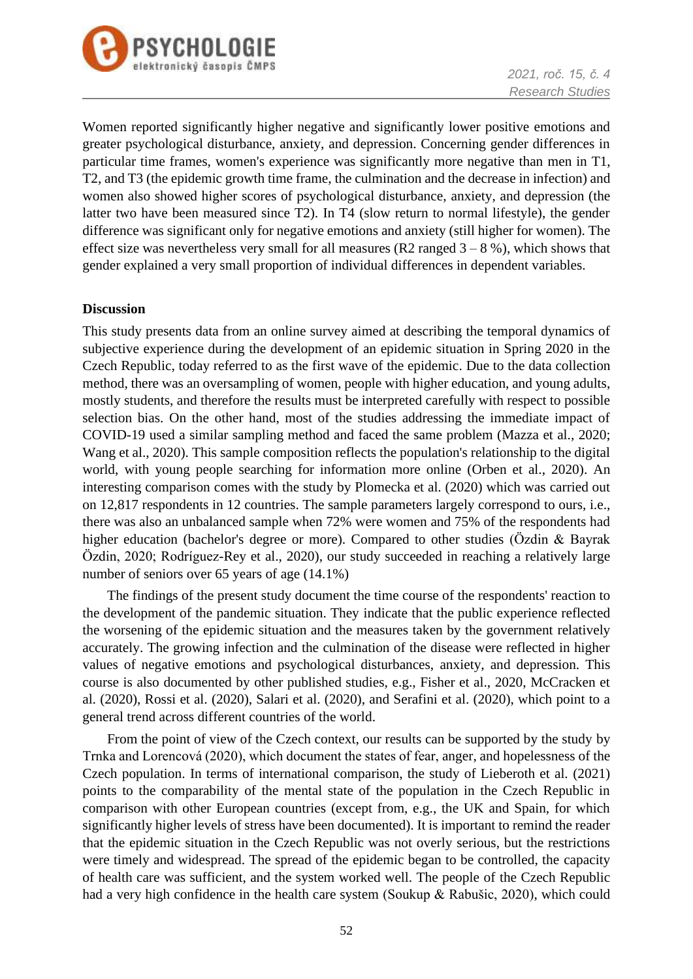

Women reported significantly higher negative and significantly lower positive emotions and greater psychological disturbance, anxiety, and depression. Concerning gender differences in particular time frames, women's experience was significantly more negative than men in T1, T2, and T3 (the epidemic growth time frame, the culmination and the decrease in infection) and women also showed higher scores of psychological disturbance, anxiety, and depression (the latter two have been measured since T2). In T4 (slow return to normal lifestyle), the gender difference was significant only for negative emotions and anxiety (still higher for women). The effect size was nevertheless very small for all measures (R2 ranged  $3 - 8$ %), which shows that gender explained a very small proportion of individual differences in dependent variables.

#### **Discussion**

This study presents data from an online survey aimed at describing the temporal dynamics of subjective experience during the development of an epidemic situation in Spring 2020 in the Czech Republic, today referred to as the first wave of the epidemic. Due to the data collection method, there was an oversampling of women, people with higher education, and young adults, mostly students, and therefore the results must be interpreted carefully with respect to possible selection bias. On the other hand, most of the studies addressing the immediate impact of COVID-19 used a similar sampling method and faced the same problem (Mazza et al., 2020; Wang et al., 2020). This sample composition reflects the population's relationship to the digital world, with young people searching for information more online (Orben et al., 2020). An interesting comparison comes with the study by Plomecka et al. (2020) which was carried out on 12,817 respondents in 12 countries. The sample parameters largely correspond to ours, i.e., there was also an unbalanced sample when 72% were women and 75% of the respondents had higher education (bachelor's degree or more). Compared to other studies (Özdin & Bayrak Özdin, 2020; Rodríguez-Rey et al., 2020), our study succeeded in reaching a relatively large number of seniors over 65 years of age (14.1%)

The findings of the present study document the time course of the respondents' reaction to the development of the pandemic situation. They indicate that the public experience reflected the worsening of the epidemic situation and the measures taken by the government relatively accurately. The growing infection and the culmination of the disease were reflected in higher values of negative emotions and psychological disturbances, anxiety, and depression. This course is also documented by other published studies, e.g., Fisher et al., 2020, McCracken et al. (2020), Rossi et al. (2020), Salari et al. (2020), and Serafini et al. (2020), which point to a general trend across different countries of the world.

From the point of view of the Czech context, our results can be supported by the study by Trnka and Lorencová (2020), which document the states of fear, anger, and hopelessness of the Czech population. In terms of international comparison, the study of Lieberoth et al. (2021) points to the comparability of the mental state of the population in the Czech Republic in comparison with other European countries (except from, e.g., the UK and Spain, for which significantly higher levels of stress have been documented). It is important to remind the reader that the epidemic situation in the Czech Republic was not overly serious, but the restrictions were timely and widespread. The spread of the epidemic began to be controlled, the capacity of health care was sufficient, and the system worked well. The people of the Czech Republic had a very high confidence in the health care system (Soukup & Rabušic, 2020), which could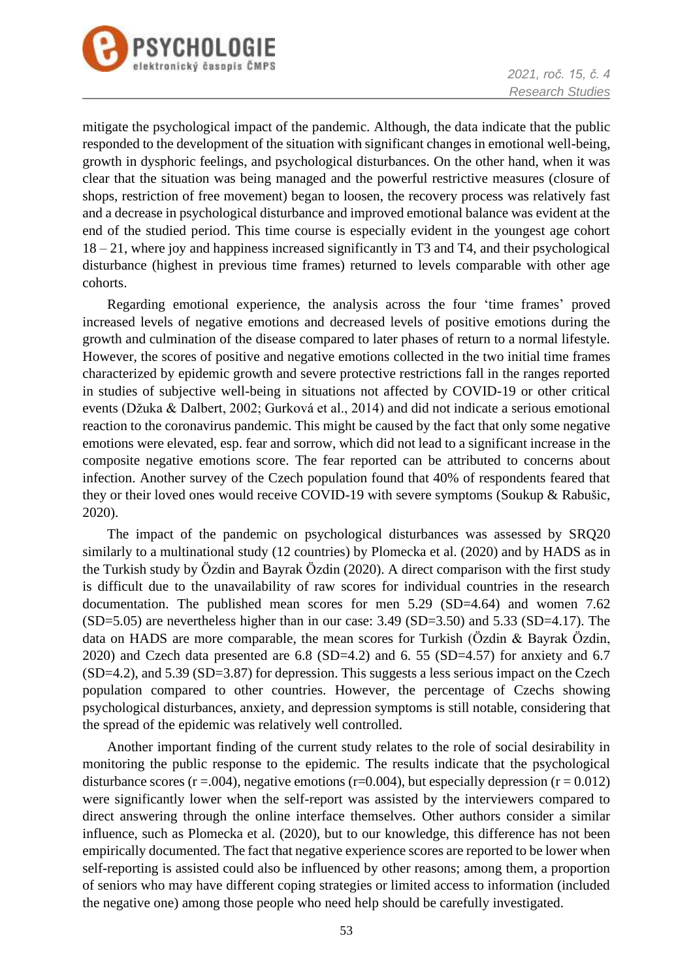

mitigate the psychological impact of the pandemic. Although, the data indicate that the public responded to the development of the situation with significant changes in emotional well-being, growth in dysphoric feelings, and psychological disturbances. On the other hand, when it was clear that the situation was being managed and the powerful restrictive measures (closure of shops, restriction of free movement) began to loosen, the recovery process was relatively fast and a decrease in psychological disturbance and improved emotional balance was evident at the end of the studied period. This time course is especially evident in the youngest age cohort 18 – 21, where joy and happiness increased significantly in T3 and T4, and their psychological disturbance (highest in previous time frames) returned to levels comparable with other age cohorts.

Regarding emotional experience, the analysis across the four 'time frames' proved increased levels of negative emotions and decreased levels of positive emotions during the growth and culmination of the disease compared to later phases of return to a normal lifestyle. However, the scores of positive and negative emotions collected in the two initial time frames characterized by epidemic growth and severe protective restrictions fall in the ranges reported in studies of subjective well-being in situations not affected by COVID-19 or other critical events (Džuka & Dalbert, 2002; Gurková et al., 2014) and did not indicate a serious emotional reaction to the coronavirus pandemic. This might be caused by the fact that only some negative emotions were elevated, esp. fear and sorrow, which did not lead to a significant increase in the composite negative emotions score. The fear reported can be attributed to concerns about infection. Another survey of the Czech population found that 40% of respondents feared that they or their loved ones would receive COVID-19 with severe symptoms (Soukup & Rabušic, 2020).

The impact of the pandemic on psychological disturbances was assessed by SRQ20 similarly to a multinational study (12 countries) by Plomecka et al. (2020) and by HADS as in the Turkish study by Özdin and Bayrak Özdin (2020). A direct comparison with the first study is difficult due to the unavailability of raw scores for individual countries in the research documentation. The published mean scores for men 5.29 (SD=4.64) and women 7.62 (SD=5.05) are nevertheless higher than in our case: 3.49 (SD=3.50) and 5.33 (SD=4.17). The data on HADS are more comparable, the mean scores for Turkish (Özdin & Bayrak Özdin, 2020) and Czech data presented are  $6.8$  (SD=4.2) and  $6.55$  (SD=4.57) for anxiety and  $6.7$ (SD=4.2), and 5.39 (SD=3.87) for depression. This suggests a less serious impact on the Czech population compared to other countries. However, the percentage of Czechs showing psychological disturbances, anxiety, and depression symptoms is still notable, considering that the spread of the epidemic was relatively well controlled.

Another important finding of the current study relates to the role of social desirability in monitoring the public response to the epidemic. The results indicate that the psychological disturbance scores ( $r = .004$ ), negative emotions ( $r = 0.004$ ), but especially depression ( $r = 0.012$ ) were significantly lower when the self-report was assisted by the interviewers compared to direct answering through the online interface themselves. Other authors consider a similar influence, such as Plomecka et al. (2020), but to our knowledge, this difference has not been empirically documented. The fact that negative experience scores are reported to be lower when self-reporting is assisted could also be influenced by other reasons; among them, a proportion of seniors who may have different coping strategies or limited access to information (included the negative one) among those people who need help should be carefully investigated.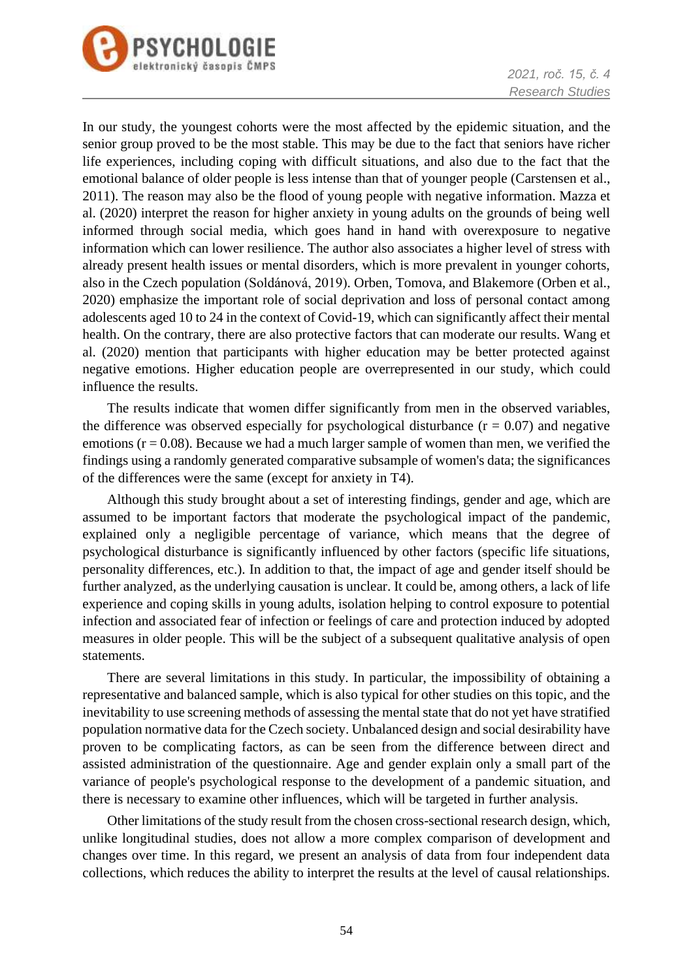

In our study, the youngest cohorts were the most affected by the epidemic situation, and the senior group proved to be the most stable. This may be due to the fact that seniors have richer life experiences, including coping with difficult situations, and also due to the fact that the emotional balance of older people is less intense than that of younger people (Carstensen et al., 2011). The reason may also be the flood of young people with negative information. Mazza et al. (2020) interpret the reason for higher anxiety in young adults on the grounds of being well informed through social media, which goes hand in hand with overexposure to negative information which can lower resilience. The author also associates a higher level of stress with already present health issues or mental disorders, which is more prevalent in younger cohorts, also in the Czech population (Soldánová, 2019). Orben, Tomova, and Blakemore (Orben et al., 2020) emphasize the important role of social deprivation and loss of personal contact among adolescents aged 10 to 24 in the context of Covid-19, which can significantly affect their mental health. On the contrary, there are also protective factors that can moderate our results. Wang et al. (2020) mention that participants with higher education may be better protected against negative emotions. Higher education people are overrepresented in our study, which could influence the results.

The results indicate that women differ significantly from men in the observed variables, the difference was observed especially for psychological disturbance  $(r = 0.07)$  and negative emotions  $(r = 0.08)$ . Because we had a much larger sample of women than men, we verified the findings using a randomly generated comparative subsample of women's data; the significances of the differences were the same (except for anxiety in T4).

Although this study brought about a set of interesting findings, gender and age, which are assumed to be important factors that moderate the psychological impact of the pandemic, explained only a negligible percentage of variance, which means that the degree of psychological disturbance is significantly influenced by other factors (specific life situations, personality differences, etc.). In addition to that, the impact of age and gender itself should be further analyzed, as the underlying causation is unclear. It could be, among others, a lack of life experience and coping skills in young adults, isolation helping to control exposure to potential infection and associated fear of infection or feelings of care and protection induced by adopted measures in older people. This will be the subject of a subsequent qualitative analysis of open statements.

There are several limitations in this study. In particular, the impossibility of obtaining a representative and balanced sample, which is also typical for other studies on this topic, and the inevitability to use screening methods of assessing the mental state that do not yet have stratified population normative data for the Czech society. Unbalanced design and social desirability have proven to be complicating factors, as can be seen from the difference between direct and assisted administration of the questionnaire. Age and gender explain only a small part of the variance of people's psychological response to the development of a pandemic situation, and there is necessary to examine other influences, which will be targeted in further analysis.

Other limitations of the study result from the chosen cross-sectional research design, which, unlike longitudinal studies, does not allow a more complex comparison of development and changes over time. In this regard, we present an analysis of data from four independent data collections, which reduces the ability to interpret the results at the level of causal relationships.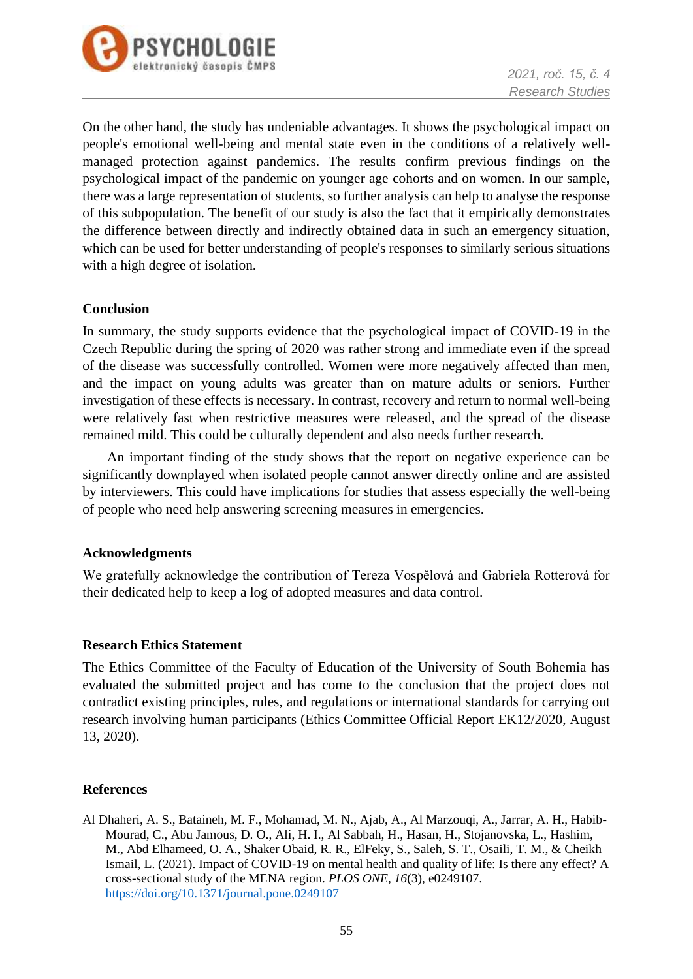

On the other hand, the study has undeniable advantages. It shows the psychological impact on people's emotional well-being and mental state even in the conditions of a relatively wellmanaged protection against pandemics. The results confirm previous findings on the psychological impact of the pandemic on younger age cohorts and on women. In our sample, there was a large representation of students, so further analysis can help to analyse the response of this subpopulation. The benefit of our study is also the fact that it empirically demonstrates the difference between directly and indirectly obtained data in such an emergency situation, which can be used for better understanding of people's responses to similarly serious situations with a high degree of isolation.

### **Conclusion**

In summary, the study supports evidence that the psychological impact of COVID-19 in the Czech Republic during the spring of 2020 was rather strong and immediate even if the spread of the disease was successfully controlled. Women were more negatively affected than men, and the impact on young adults was greater than on mature adults or seniors. Further investigation of these effects is necessary. In contrast, recovery and return to normal well-being were relatively fast when restrictive measures were released, and the spread of the disease remained mild. This could be culturally dependent and also needs further research.

An important finding of the study shows that the report on negative experience can be significantly downplayed when isolated people cannot answer directly online and are assisted by interviewers. This could have implications for studies that assess especially the well-being of people who need help answering screening measures in emergencies.

### **Acknowledgments**

We gratefully acknowledge the contribution of Tereza Vospělová and Gabriela Rotterová for their dedicated help to keep a log of adopted measures and data control.

#### **Research Ethics Statement**

The Ethics Committee of the Faculty of Education of the University of South Bohemia has evaluated the submitted project and has come to the conclusion that the project does not contradict existing principles, rules, and regulations or international standards for carrying out research involving human participants (Ethics Committee Official Report EK12/2020, August 13, 2020).

### **References**

Al Dhaheri, A. S., Bataineh, M. F., Mohamad, M. N., Ajab, A., Al Marzouqi, A., Jarrar, A. H., Habib-Mourad, C., Abu Jamous, D. O., Ali, H. I., Al Sabbah, H., Hasan, H., Stojanovska, L., Hashim, M., Abd Elhameed, O. A., Shaker Obaid, R. R., ElFeky, S., Saleh, S. T., Osaili, T. M., & Cheikh Ismail, L. (2021). Impact of COVID-19 on mental health and quality of life: Is there any effect? A cross-sectional study of the MENA region. *PLOS ONE, 16*(3), e0249107. <https://doi.org/10.1371/journal.pone.0249107>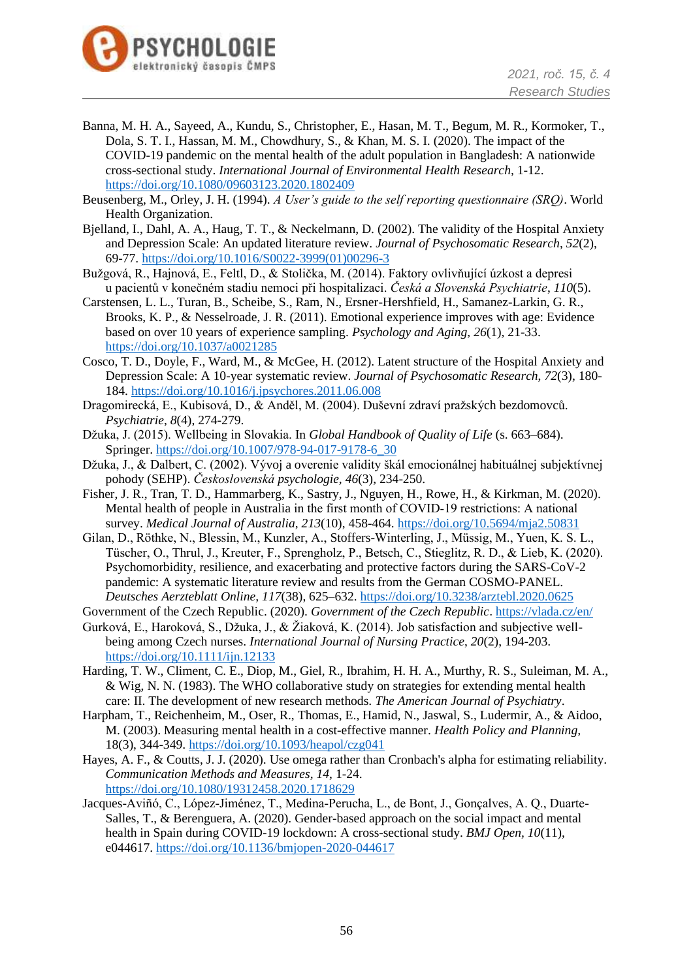

- Banna, M. H. A., Sayeed, A., Kundu, S., Christopher, E., Hasan, M. T., Begum, M. R., Kormoker, T., Dola, S. T. I., Hassan, M. M., Chowdhury, S., & Khan, M. S. I. (2020). The impact of the COVID-19 pandemic on the mental health of the adult population in Bangladesh: A nationwide cross-sectional study. *International Journal of Environmental Health Research,* 1-12. <https://doi.org/10.1080/09603123.2020.1802409>
- Beusenberg, M., Orley, J. H. (1994). *A User's guide to the self reporting questionnaire (SRQ)*. World Health Organization.
- Bjelland, I., Dahl, A. A., Haug, T. T., & Neckelmann, D. (2002). The validity of the Hospital Anxiety and Depression Scale: An updated literature review. *Journal of Psychosomatic Research*, *52*(2), 69-77. [https://doi.org/10.1016/S0022-3999\(01\)00296-3](https://doi.org/10.1016/S0022-3999(01)00296-3)
- Bužgová, R., Hajnová, E., Feltl, D., & Stolička, M. (2014). Faktory ovlivňující úzkost a depresi u pacientů v konečném stadiu nemoci při hospitalizaci. *Česká a Slovenská Psychiatrie*, *110*(5).
- Carstensen, L. L., Turan, B., Scheibe, S., Ram, N., Ersner-Hershfield, H., Samanez-Larkin, G. R., Brooks, K. P., & Nesselroade, J. R. (2011). Emotional experience improves with age: Evidence based on over 10 years of experience sampling. *Psychology and Aging*, *26*(1), 21-33. <https://doi.org/10.1037/a0021285>
- Cosco, T. D., Doyle, F., Ward, M., & McGee, H. (2012). Latent structure of the Hospital Anxiety and Depression Scale: A 10-year systematic review. *Journal of Psychosomatic Research*, *72*(3), 180- 184[. https://doi.org/10.1016/j.jpsychores.2011.06.008](https://doi.org/10.1016/j.jpsychores.2011.06.008)
- Dragomirecká, E., Kubisová, D., & Anděl, M. (2004). Duševní zdraví pražských bezdomovců. *Psychiatrie*, *8*(4), 274-279.
- Džuka, J. (2015). Wellbeing in Slovakia. In *Global Handbook of Quality of Life* (s. 663–684). Springer. [https://doi.org/10.1007/978-94-017-9178-6\\_30](https://doi.org/10.1007/978-94-017-9178-6_30)
- Džuka, J., & Dalbert, C. (2002). Vývoj a overenie validity škál emocionálnej habituálnej subjektívnej pohody (SEHP). *Československá psychologie, 46*(3), 234-250.
- Fisher, J. R., Tran, T. D., Hammarberg, K., Sastry, J., Nguyen, H., Rowe, H., & Kirkman, M. (2020). Mental health of people in Australia in the first month of COVID‐19 restrictions: A national survey. *Medical Journal of Australia, 213*(10), 458-464. <https://doi.org/10.5694/mja2.50831>
- Gilan, D., Röthke, N., Blessin, M., Kunzler, A., Stoffers-Winterling, J., Müssig, M., Yuen, K. S. L., Tüscher, O., Thrul, J., Kreuter, F., Sprengholz, P., Betsch, C., Stieglitz, R. D., & Lieb, K. (2020). Psychomorbidity, resilience, and exacerbating and protective factors during the SARS-CoV-2 pandemic: A systematic literature review and results from the German COSMO-PANEL. *Deutsches Aerzteblatt Online, 117*(38), 625–632.<https://doi.org/10.3238/arztebl.2020.0625>
- Government of the Czech Republic. (2020). *Government of the Czech Republic*. <https://vlada.cz/en/>
- Gurková, E., Haroková, S., Džuka, J., & Žiaková, K. (2014). Job satisfaction and subjective wellbeing among Czech nurses. *International Journal of Nursing Practice*, *20*(2), 194-203. <https://doi.org/10.1111/ijn.12133>
- Harding, T. W., Climent, C. E., Diop, M., Giel, R., Ibrahim, H. H. A., Murthy, R. S., Suleiman, M. A., & Wig, N. N. (1983). The WHO collaborative study on strategies for extending mental health care: II. The development of new research methods. *The American Journal of Psychiatry*.
- Harpham, T., Reichenheim, M., Oser, R., Thomas, E., Hamid, N., Jaswal, S., Ludermir, A., & Aidoo, M. (2003). Measuring mental health in a cost-effective manner. *Health Policy and Planning,*  18(3), 344-349.<https://doi.org/10.1093/heapol/czg041>
- Hayes, A. F., & Coutts, J. J. (2020). Use omega rather than Cronbach's alpha for estimating reliability. *Communication Methods and Measures, 14*, 1-24. <https://doi.org/10.1080/19312458.2020.1718629>
- Jacques-Aviñó, C., López-Jiménez, T., Medina-Perucha, L., de Bont, J., Gonçalves, A. Q., Duarte-Salles, T., & Berenguera, A. (2020). Gender-based approach on the social impact and mental health in Spain during COVID-19 lockdown: A cross-sectional study. *BMJ Open, 10*(11), e044617.<https://doi.org/10.1136/bmjopen-2020-044617>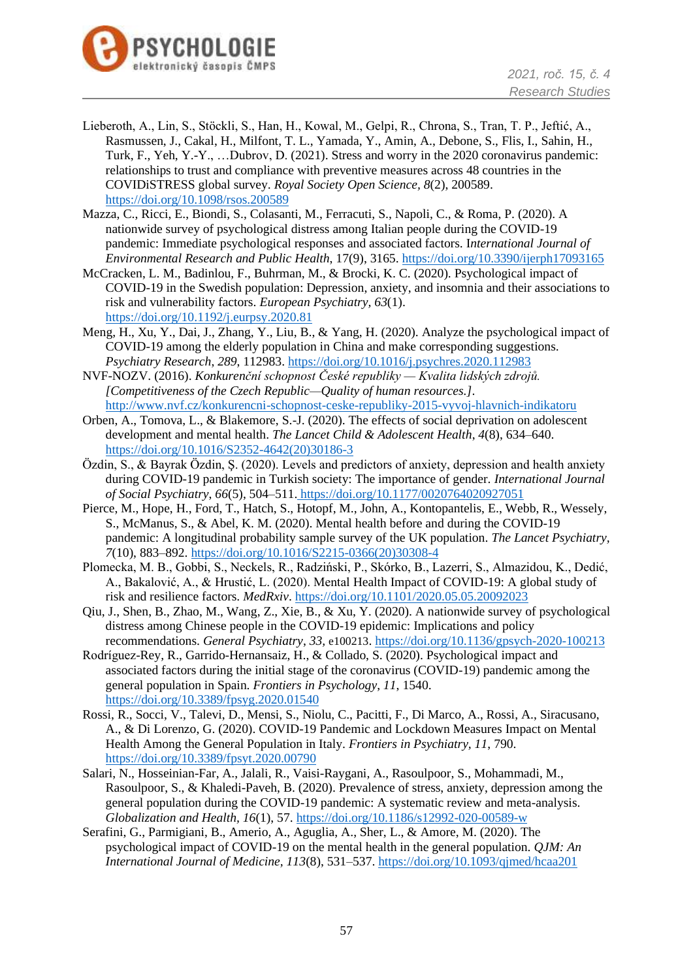

- Lieberoth, A., Lin, S., Stöckli, S., Han, H., Kowal, M., Gelpi, R., Chrona, S., Tran, T. P., Jeftić, A., Rasmussen, J., Cakal, H., Milfont, T. L., Yamada, Y., Amin, A., Debone, S., Flis, I., Sahin, H., Turk, F., Yeh, Y.-Y., …Dubrov, D. (2021). Stress and worry in the 2020 coronavirus pandemic: relationships to trust and compliance with preventive measures across 48 countries in the COVIDiSTRESS global survey. *Royal Society Open Science, 8*(2), 200589. <https://doi.org/10.1098/rsos.200589>
- Mazza, C., Ricci, E., Biondi, S., Colasanti, M., Ferracuti, S., Napoli, C., & Roma, P. (2020). A nationwide survey of psychological distress among Italian people during the COVID-19 pandemic: Immediate psychological responses and associated factors. I*nternational Journal of Environmental Research and Public Health*, 17(9), 3165.<https://doi.org/10.3390/ijerph17093165>
- McCracken, L. M., Badinlou, F., Buhrman, M., & Brocki, K. C. (2020). Psychological impact of COVID-19 in the Swedish population: Depression, anxiety, and insomnia and their associations to risk and vulnerability factors. *European Psychiatry, 63*(1). <https://doi.org/10.1192/j.eurpsy.2020.81>
- Meng, H., Xu, Y., Dai, J., Zhang, Y., Liu, B., & Yang, H. (2020). Analyze the psychological impact of COVID-19 among the elderly population in China and make corresponding suggestions. *Psychiatry Research*, *289*, 112983.<https://doi.org/10.1016/j.psychres.2020.112983>
- NVF-NOZV. (2016). *Konkurenční schopnost České republiky — Kvalita lidských zdrojů. [Competitiveness of the Czech Republic—Quality of human resources.]*. <http://www.nvf.cz/konkurencni-schopnost-ceske-republiky-2015-vyvoj-hlavnich-indikatoru>
- Orben, A., Tomova, L., & Blakemore, S.-J. (2020). The effects of social deprivation on adolescent development and mental health. *The Lancet Child & Adolescent Health*, *4*(8), 634–640. [https://doi.org/10.1016/S2352-4642\(20\)30186-3](https://doi.org/10.1016/S2352-4642(20)30186-3)
- Özdin, S., & Bayrak Özdin, Ş. (2020). Levels and predictors of anxiety, depression and health anxiety during COVID-19 pandemic in Turkish society: The importance of gender. *International Journal of Social Psychiatry*, *66*(5), 504–511. <https://doi.org/10.1177/0020764020927051>
- Pierce, M., Hope, H., Ford, T., Hatch, S., Hotopf, M., John, A., Kontopantelis, E., Webb, R., Wessely, S., McManus, S., & Abel, K. M. (2020). Mental health before and during the COVID-19 pandemic: A longitudinal probability sample survey of the UK population. *The Lancet Psychiatry, 7*(10), 883–892. [https://doi.org/10.1016/S2215-0366\(20\)30308-4](https://doi.org/10.1016/S2215-0366(20)30308-4)
- Plomecka, M. B., Gobbi, S., Neckels, R., Radziński, P., Skórko, B., Lazerri, S., Almazidou, K., Dedić, A., Bakalović, A., & Hrustić, L. (2020). Mental Health Impact of COVID-19: A global study of risk and resilience factors. *MedRxiv*.<https://doi.org/10.1101/2020.05.05.20092023>
- Qiu, J., Shen, B., Zhao, M., Wang, Z., Xie, B., & Xu, Y. (2020). A nationwide survey of psychological distress among Chinese people in the COVID-19 epidemic: Implications and policy recommendations. *General Psychiatry*, *33,* e100213.<https://doi.org/10.1136/gpsych-2020-100213>
- Rodríguez-Rey, R., Garrido-Hernansaiz, H., & Collado, S. (2020). Psychological impact and associated factors during the initial stage of the coronavirus (COVID-19) pandemic among the general population in Spain. *Frontiers in Psychology*, *11*, 1540. <https://doi.org/10.3389/fpsyg.2020.01540>
- Rossi, R., Socci, V., Talevi, D., Mensi, S., Niolu, C., Pacitti, F., Di Marco, A., Rossi, A., Siracusano, A., & Di Lorenzo, G. (2020). COVID-19 Pandemic and Lockdown Measures Impact on Mental Health Among the General Population in Italy. *Frontiers in Psychiatry, 11*, 790. <https://doi.org/10.3389/fpsyt.2020.00790>
- Salari, N., Hosseinian-Far, A., Jalali, R., Vaisi-Raygani, A., Rasoulpoor, S., Mohammadi, M., Rasoulpoor, S., & Khaledi-Paveh, B. (2020). Prevalence of stress, anxiety, depression among the general population during the COVID-19 pandemic: A systematic review and meta-analysis. *Globalization and Health, 16*(1), 57.<https://doi.org/10.1186/s12992-020-00589-w>
- Serafini, G., Parmigiani, B., Amerio, A., Aguglia, A., Sher, L., & Amore, M. (2020). The psychological impact of COVID-19 on the mental health in the general population. *QJM: An International Journal of Medicine, 113*(8), 531–537.<https://doi.org/10.1093/qjmed/hcaa201>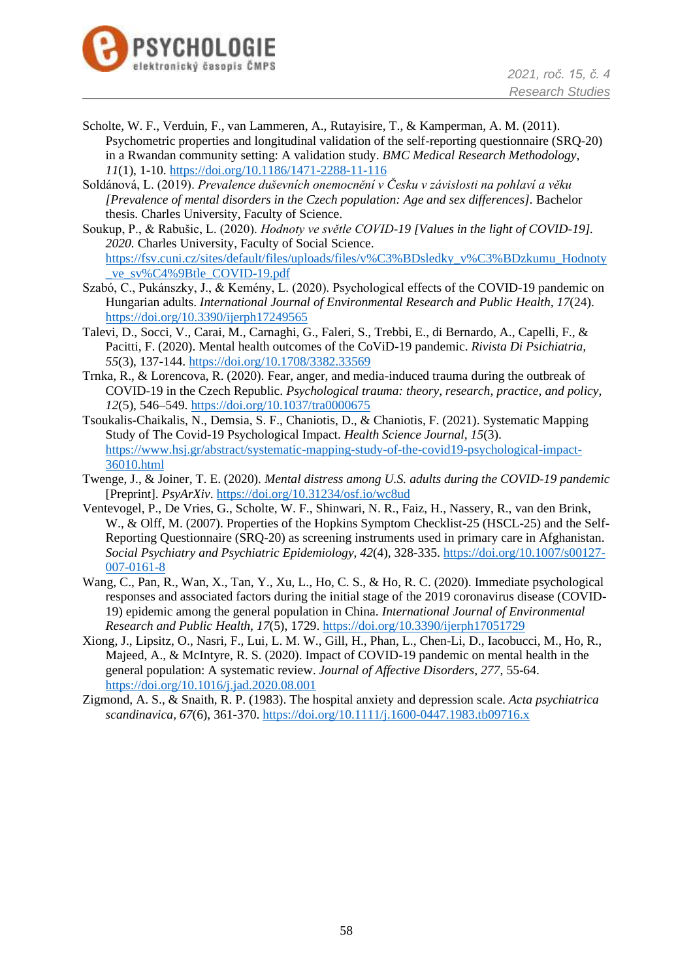

- Scholte, W. F., Verduin, F., van Lammeren, A., Rutayisire, T., & Kamperman, A. M. (2011). Psychometric properties and longitudinal validation of the self-reporting questionnaire (SRQ-20) in a Rwandan community setting: A validation study. *BMC Medical Research Methodology*, *11*(1), 1-10[. https://doi.org/10.1186/1471-2288-11-116](https://doi.org/10.1186/1471-2288-11-116)
- Soldánová, L. (2019). *Prevalence duševních onemocnění v Česku v závislosti na pohlaví a věku [Prevalence of mental disorders in the Czech population: Age and sex differences].* Bachelor thesis. Charles University, Faculty of Science.
- Soukup, P., & Rabušic, L. (2020). *Hodnoty ve světle COVID-19 [Values in the light of COVID-19]. 2020.* Charles University, Faculty of Social Science. [https://fsv.cuni.cz/sites/default/files/uploads/files/v%C3%BDsledky\\_v%C3%BDzkumu\\_Hodnoty](https://fsv.cuni.cz/sites/default/files/uploads/files/v%C3%BDsledky_v%C3%BDzkumu_Hodnoty_ve_sv%C4%9Btle_COVID-19.pdf) [\\_ve\\_sv%C4%9Btle\\_COVID-19.pdf](https://fsv.cuni.cz/sites/default/files/uploads/files/v%C3%BDsledky_v%C3%BDzkumu_Hodnoty_ve_sv%C4%9Btle_COVID-19.pdf)
- Szabó, C., Pukánszky, J., & Kemény, L. (2020). Psychological effects of the COVID-19 pandemic on Hungarian adults. *International Journal of Environmental Research and Public Health, 17*(24). <https://doi.org/10.3390/ijerph17249565>
- Talevi, D., Socci, V., Carai, M., Carnaghi, G., Faleri, S., Trebbi, E., di Bernardo, A., Capelli, F., & Pacitti, F. (2020). Mental health outcomes of the CoViD-19 pandemic. *Rivista Di Psichiatria, 55*(3), 137-144.<https://doi.org/10.1708/3382.33569>
- Trnka, R., & Lorencova, R. (2020). Fear, anger, and media-induced trauma during the outbreak of COVID-19 in the Czech Republic. *Psychological trauma: theory, research, practice, and policy, 12*(5), 546–549.<https://doi.org/10.1037/tra0000675>
- Tsoukalis-Chaikalis, N., Demsia, S. F., Chaniotis, D., & Chaniotis, F. (2021). Systematic Mapping Study of The Covid-19 Psychological Impact. *Health Science Journal, 15*(3). [https://www.hsj.gr/abstract/systematic-mapping-study-of-the-covid19-psychological-impact-](https://www.hsj.gr/abstract/systematic-mapping-study-of-the-covid19-psychological-impact-36010.html)[36010.html](https://www.hsj.gr/abstract/systematic-mapping-study-of-the-covid19-psychological-impact-36010.html)
- Twenge, J., & Joiner, T. E. (2020). *Mental distress among U.S. adults during the COVID-19 pandemic* [Preprint]. *PsyArXiv*.<https://doi.org/10.31234/osf.io/wc8ud>
- Ventevogel, P., De Vries, G., Scholte, W. F., Shinwari, N. R., Faiz, H., Nassery, R., van den Brink, W., & Olff, M. (2007). Properties of the Hopkins Symptom Checklist-25 (HSCL-25) and the Self-Reporting Questionnaire (SRQ-20) as screening instruments used in primary care in Afghanistan. *Social Psychiatry and Psychiatric Epidemiology*, *42*(4), 328-335. [https://doi.org/10.1007/s00127-](https://doi.org/10.1007/s00127-007-0161-8) [007-0161-8](https://doi.org/10.1007/s00127-007-0161-8)
- Wang, C., Pan, R., Wan, X., Tan, Y., Xu, L., Ho, C. S., & Ho, R. C. (2020). Immediate psychological responses and associated factors during the initial stage of the 2019 coronavirus disease (COVID-19) epidemic among the general population in China. *International Journal of Environmental Research and Public Health*, *17*(5), 1729.<https://doi.org/10.3390/ijerph17051729>
- Xiong, J., Lipsitz, O., Nasri, F., Lui, L. M. W., Gill, H., Phan, L., Chen-Li, D., Iacobucci, M., Ho, R., Majeed, A., & McIntyre, R. S. (2020). Impact of COVID-19 pandemic on mental health in the general population: A systematic review. *Journal of Affective Disorders, 277*, 55-64. <https://doi.org/10.1016/j.jad.2020.08.001>
- Zigmond, A. S., & Snaith, R. P. (1983). The hospital anxiety and depression scale. *Acta psychiatrica scandinavica, 67*(6), 361-370.<https://doi.org/10.1111/j.1600-0447.1983.tb09716.x>